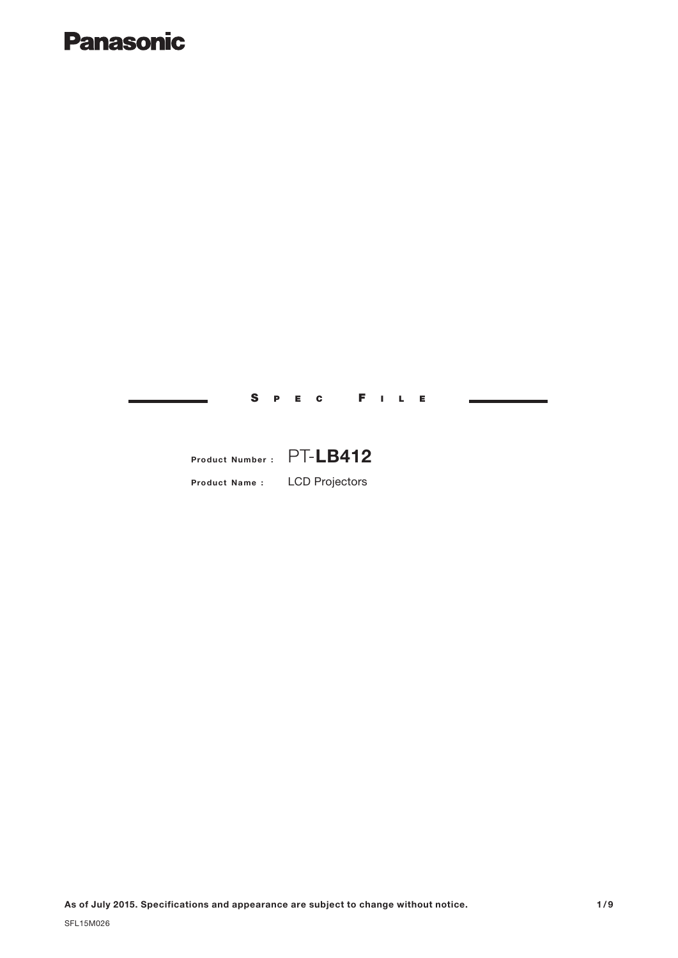## **Panasonic**

S P E C F I L E

## **Product Number :** PT-**LB412**

**Product Name :** LCD Projectors

**As of July 2015. Specifications and appearance are subject to change without notice.**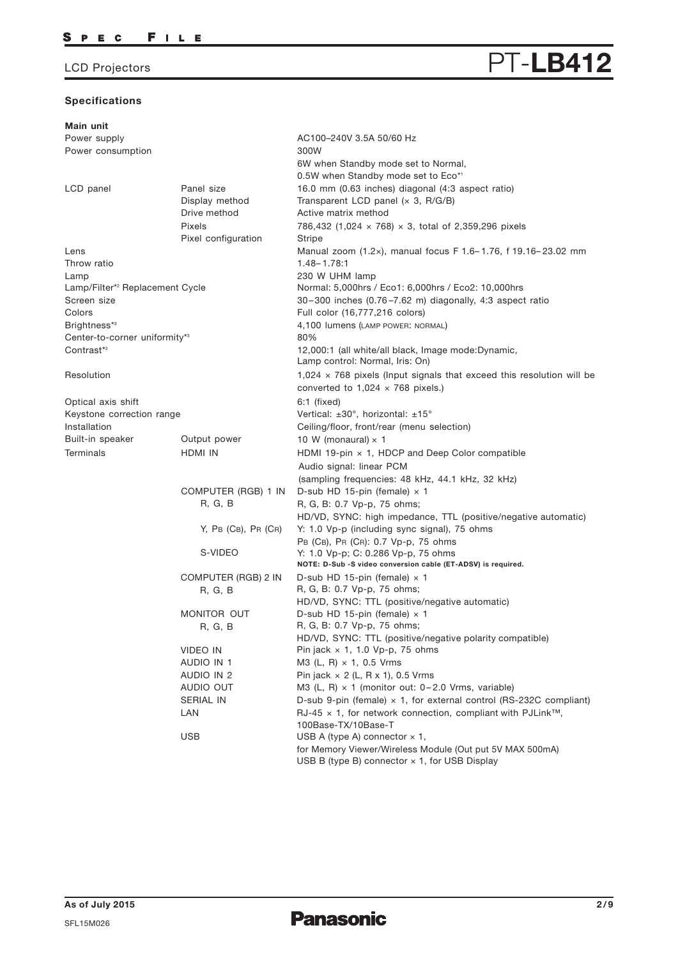## **Specifications**

VIDEO IN AUDIO IN 1 AUDIO IN 2 AUDIO OUT SERIAL IN LAN

| LCD Projectors                              |                               | PT-LB412                                                                                                                 |
|---------------------------------------------|-------------------------------|--------------------------------------------------------------------------------------------------------------------------|
| Specifications                              |                               |                                                                                                                          |
| Main unit                                   |                               |                                                                                                                          |
| Power supply                                |                               | AC100-240V 3.5A 50/60 Hz                                                                                                 |
| Power consumption                           |                               | 300W                                                                                                                     |
|                                             |                               | 6W when Standby mode set to Normal,                                                                                      |
|                                             |                               | 0.5W when Standby mode set to Eco*1                                                                                      |
| LCD panel                                   | Panel size                    | 16.0 mm (0.63 inches) diagonal (4:3 aspect ratio)                                                                        |
|                                             | Display method                | Transparent LCD panel $(x, 3, R/G/B)$                                                                                    |
|                                             | Drive method                  | Active matrix method                                                                                                     |
|                                             | Pixels<br>Pixel configuration | 786,432 (1,024 $\times$ 768) $\times$ 3, total of 2,359,296 pixels                                                       |
| Lens                                        |                               | Stripe<br>Manual zoom (1.2x), manual focus F 1.6-1.76, f 19.16-23.02 mm                                                  |
| Throw ratio                                 |                               | $1.48 - 1.78:1$                                                                                                          |
| Lamp                                        |                               | 230 W UHM lamp                                                                                                           |
| Lamp/Filter* <sup>2</sup> Replacement Cycle |                               | Normal: 5,000hrs / Eco1: 6,000hrs / Eco2: 10,000hrs                                                                      |
| Screen size                                 |                               | $30-300$ inches $(0.76-7.62$ m) diagonally, 4:3 aspect ratio                                                             |
| Colors                                      |                               | Full color (16,777,216 colors)                                                                                           |
| Brightness*3                                |                               | 4,100 lumens (LAMP POWER: NORMAL)                                                                                        |
| Center-to-corner uniformity*3               |                               | 80%                                                                                                                      |
| Contrast* <sup>3</sup>                      |                               | 12,000:1 (all white/all black, Image mode:Dynamic,<br>Lamp control: Normal, Iris: On)                                    |
| Resolution                                  |                               | $1,024 \times 768$ pixels (Input signals that exceed this resolution will be<br>converted to $1,024 \times 768$ pixels.) |
| Optical axis shift                          |                               | $6:1$ (fixed)                                                                                                            |
| Keystone correction range                   |                               | Vertical: $\pm 30^\circ$ , horizontal: $\pm 15^\circ$                                                                    |
| Installation                                |                               | Ceiling/floor, front/rear (menu selection)                                                                               |
| Built-in speaker                            | Output power                  | 10 W (monaural) $\times$ 1                                                                                               |
| <b>Terminals</b>                            | HDMI IN                       | HDMI 19-pin $\times$ 1, HDCP and Deep Color compatible                                                                   |
|                                             |                               | Audio signal: linear PCM                                                                                                 |
|                                             |                               | (sampling frequencies: 48 kHz, 44.1 kHz, 32 kHz)                                                                         |
|                                             | COMPUTER (RGB) 1 IN           | D-sub HD 15-pin (female) $\times$ 1                                                                                      |
|                                             | R, G, B                       | R, G, B: 0.7 Vp-p, 75 ohms;                                                                                              |
|                                             |                               | HD/VD, SYNC: high impedance, TTL (positive/negative automatic)                                                           |
|                                             | $Y$ , PB (CB), PR (CR)        | Y: 1.0 Vp-p (including sync signal), 75 ohms                                                                             |
|                                             |                               | PB (CB), PR (CR): 0.7 Vp-p, 75 ohms                                                                                      |
|                                             | S-VIDEO                       | Y: 1.0 Vp-p; C: 0.286 Vp-p, 75 ohms<br>NOTE: D-Sub -S video conversion cable (ET-ADSV) is required.                      |
|                                             | COMPUTER (RGB) 2 IN           | D-sub HD 15-pin (female) $\times$ 1                                                                                      |
|                                             | R, G, B                       | R, G, B: 0.7 Vp-p, 75 ohms;<br>HD/VD, SYNC: TTL (positive/negative automatic)                                            |
|                                             | MONITOR OUT                   | D-sub HD 15-pin (female) $\times$ 1                                                                                      |
|                                             | R, G, B                       | R, G, B: 0.7 Vp-p, 75 ohms;                                                                                              |

USB USB A (type A) connector  $\times$  1,

Pin jack  $\times$  1, 1.0 Vp-p, 75 ohms M3 (L, R) × 1, 0.5 Vrms Pin jack  $\times$  2 (L, R  $\times$  1), 0.5 Vrms

100Base-TX/10Base-T

M3 (L, R) × 1 (monitor out: 0– 2.0 Vrms, variable)

USB B (type B) connector  $\times$  1, for USB Display

D-sub 9-pin (female) × 1, for external control (RS-232C compliant)

for Memory Viewer/Wireless Module (Out put 5V MAX 500mA)

RJ-45  $\times$  1, for network connection, compliant with PJLink™,

HD/VD, SYNC: TTL (positive/negative polarity compatible)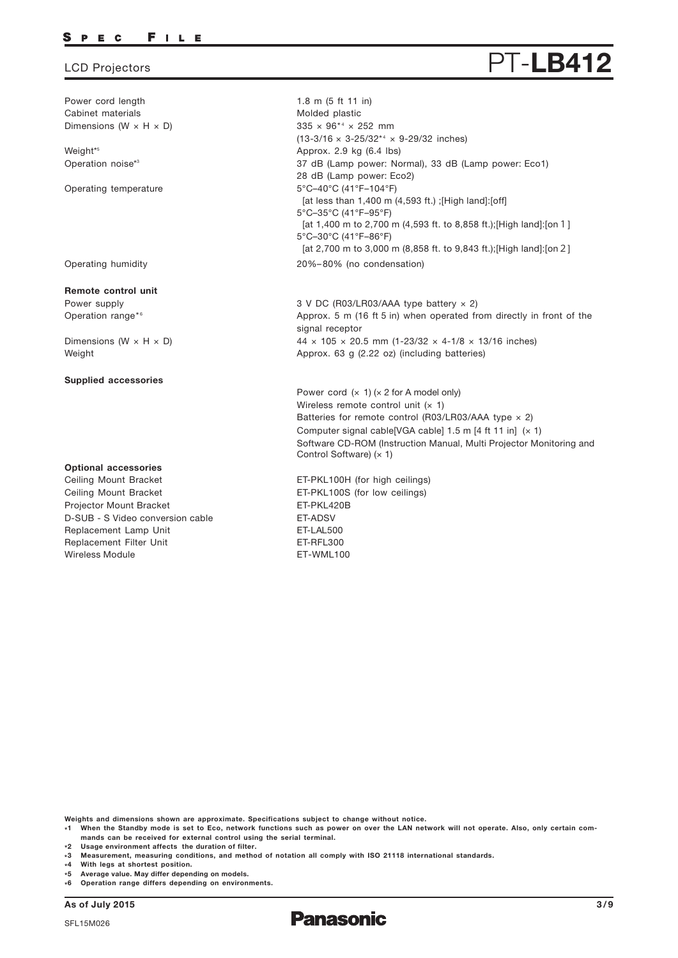#### P E C FILE

Power cord length Cabinet materials Dimensions ( $W \times H \times D$ )

Weight\* 5 Operation noise\*3

Operating temperature

Operating humidity

### **Remote control unit**

Power supply Operation range\*6

Dimensions ( $W \times H \times D$ ) Weight

#### **Supplied accessories**

### **Optional accessories**

Replacement Lamp Unit Replacement Filter Unit Ceiling Mount Bracket Ceiling Mount Bracket Projector Mount Bracket Wireless Module ET-WML100 D-SUB - S Video conversion cable ET-ADSV

 $335 \times 96^{*4} \times 252$  mm  $(13-3/16 \times 3-25/32^{*4} \times 9-29/32$  inches) 1.8 m (5 ft 11 in) Molded plastic Approx. 2.9 kg (6.4 lbs) 5°C–40°C (41°F–104°F) [at less than 1,400 m (4,593 ft.) ; [High land]: [off] 5°C–35°C (41°F–95°F) [at 1,400 m to 2,700 m (4,593 ft. to 8,858 ft.);[High land]:[on 1] 5°C–30°C (41°F–86°F) [at 2,700 m to 3,000 m (8,858 ft. to 9,843 ft.);[High land]:[on2] 20%–80% (no condensation) 37 dB (Lamp power: Normal), 33 dB (Lamp power: Eco1) 28 dB (Lamp power: Eco2)

3 V DC (R03/LR03/AAA type battery × 2) Approx. 5 m (16 ft 5 in) when operated from directly in front of the signal receptor  $44 \times 105 \times 20.5$  mm (1-23/32  $\times$  4-1/8  $\times$  13/16 inches) Approx. 63 g (2.22 oz) (including batteries)

Power cord  $(x 1)$   $(x 2$  for A model only) Wireless remote control unit  $(x 1)$ Batteries for remote control (R03/LR03/AAA type  $\times$  2) Computer signal cable[VGA cable]  $1.5$  m [4 ft 11 in]  $(x 1)$ Software CD-ROM (Instruction Manual, Multi Projector Monitoring and Control Software)  $(x 1)$ 

ET-LAL500 ET-RFL300 ET-PKL100H (for high ceilings) ET-PKL100S (for low ceilings) ET-PKL420B

**Weights and dimensions shown are approximate. Specifications subject to change without notice.**

**\*1 When the Standby mode is set to Eco, network functions such as power on over the LAN network will not operate. Also, only certain commands can be received for external control using the serial terminal.**

**\*2 Usage environment affects the duration of filter.**

- **\* 4 With legs at shortest position.**
- **\* 5 Average value. May differ depending on models.**
- **\* 6 Operation range differs depending on environments.**

**As of July 2015 3/9**



# LCD Projectors **PT-LB412**

**<sup>\*3</sup> Measurement, measuring conditions, and method of notation all comply with ISO 21118 international standards.**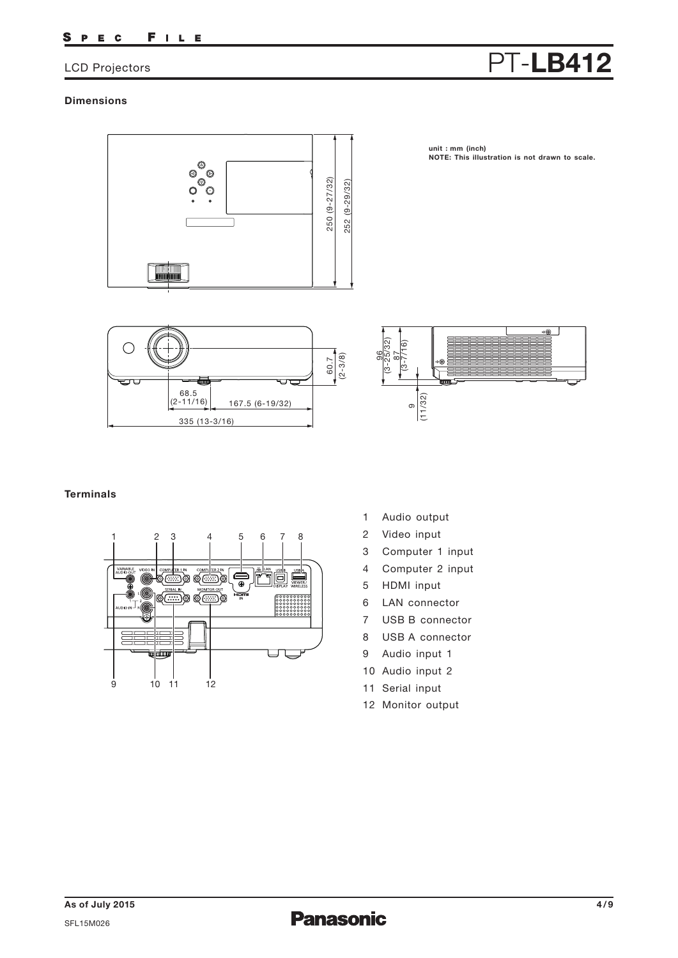#### SPEC FILE

# LCD Projectors **PT-LB412**

## **Dimensions**



**unit : mm (inch) NOTE: This illustration is not drawn to scale.**





## **Terminals**



- 1 Audio output
- 2 Video input
- 3 Computer 1 input
- 4 Computer 2 input
- 5 HDMI input
- 6 LAN connector
- 7 USB B connector
- 8 USB A connector
- 9 Audio input 1
- 10 Audio input 2
- 11 Serial input
- 12 Monitor output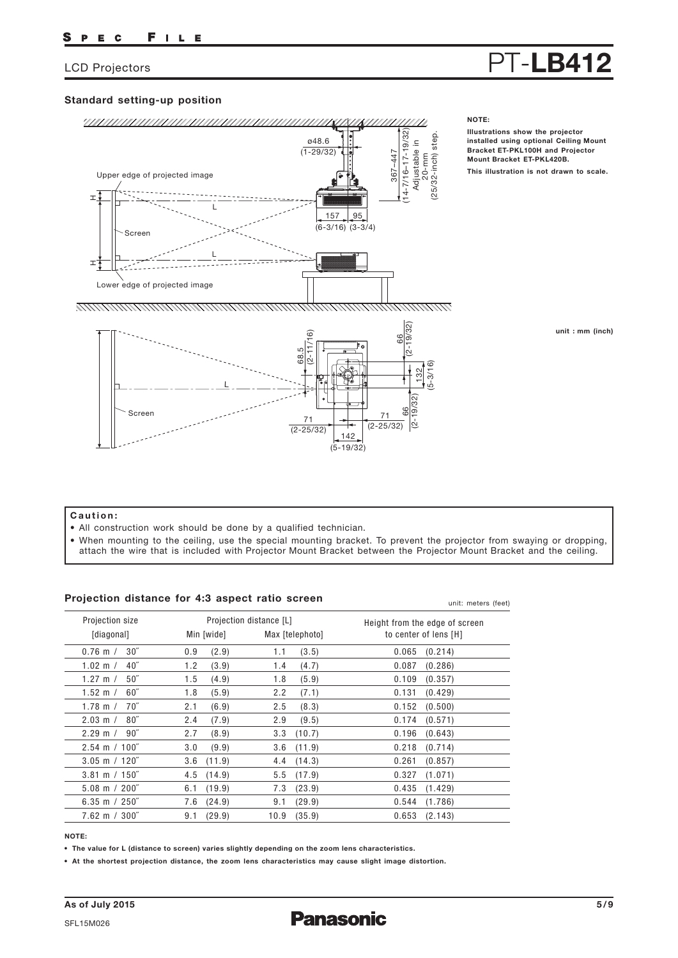# LCD Projectors **PT-LB412**

**Illustrations show the projector installed using optional Ceiling Mount** 

## **Standard setting-up position**



#### **unit : mm (inch)**

### **Caution:**

- All construction work should be done by a qualified technician.
- When mounting to the ceiling, use the special mounting bracket. To prevent the projector from swaying or dropping, attach the wire that is included with Projector Mount Bracket between the Projector Mount Bracket and the ceiling.

### **Projection distance for 4:3 aspect ratio screen**

| Projection distance for 4:3 aspect ratio screen |                |                         | unit: meters (feet)            |  |  |
|-------------------------------------------------|----------------|-------------------------|--------------------------------|--|--|
| Projection size                                 |                | Projection distance [L] | Height from the edge of screen |  |  |
| [diagonal]                                      | Min [wide]     | Max [telephoto]         | to center of lens [H]          |  |  |
| $30^{\circ}$                                    | (2.9)          | (3.5)                   | 0.065                          |  |  |
| $0.76$ m $/$                                    | 0.9            | 1.1                     | (0.214)                        |  |  |
| $40^{\circ}$                                    | (3.9)          | (4.7)                   | (0.286)                        |  |  |
| 1.02 m $/$                                      | 1.2            | 1.4                     | 0.087                          |  |  |
| $50^{\circ}$                                    | 1.5            | (5.9)                   | 0.109                          |  |  |
| 1.27 m $/$                                      | (4.9)          | 1.8                     | (0.357)                        |  |  |
| $60^{\circ}$                                    | 1.8            | 2.2                     | 0.131                          |  |  |
| $1.52 \; m /$                                   | (5.9)          | (7.1)                   | (0.429)                        |  |  |
| 70″                                             | 2.1            | 2.5                     | 0.152                          |  |  |
| 1.78 m $/$                                      | (6.9)          | (8.3)                   | (0.500)                        |  |  |
| $80^{\prime\prime}$                             | (7.9)          | 2.9                     | 0.174                          |  |  |
| $2.03 \text{ m}$ /                              | 2.4            | (9.5)                   | (0.571)                        |  |  |
| $2.29 \text{ m} / 90$ "                         | 2.7            | (10.7)                  | 0.196                          |  |  |
|                                                 | (8.9)          | 3.3                     | (0.643)                        |  |  |
| $2.54 \text{ m} / 100^{\degree}$                | 3.0            | (11.9)                  | 0.218                          |  |  |
|                                                 | (9.9)          | 3.6                     | (0.714)                        |  |  |
| $3.05 \text{ m} / 120$ "                        | (11.9)         | (14.3)                  | (0.857)                        |  |  |
|                                                 | 3.6            | 4.4                     | 0.261                          |  |  |
| $3.81 \text{ m} / 150$ "                        | $4.5$ $(14.9)$ | (17.9)<br>5.5           | 0.327<br>(1.071)               |  |  |
| $5.08 \text{ m} / 200$ "                        | (19.9)         | (23.9)                  | 0.435                          |  |  |
|                                                 | 6.1            | 7.3                     | (1.429)                        |  |  |
| $6.35 \text{ m} / 250$ "                        | $7.6$ $(24.9)$ | (29.9)<br>9.1           | 0.544<br>(1.786)               |  |  |
| $7.62 \, \text{m}$ / $300^{\degree}$            | 9.1            | 10.9                    | 0.653                          |  |  |
|                                                 | (29.9)         | (35.9)                  | (2.143)                        |  |  |

#### **NOTE:**

**• The value for L (distance to screen) varies slightly depending on the zoom lens characteristics.**

**• At the shortest projection distance, the zoom lens characteristics may cause slight image distortion.**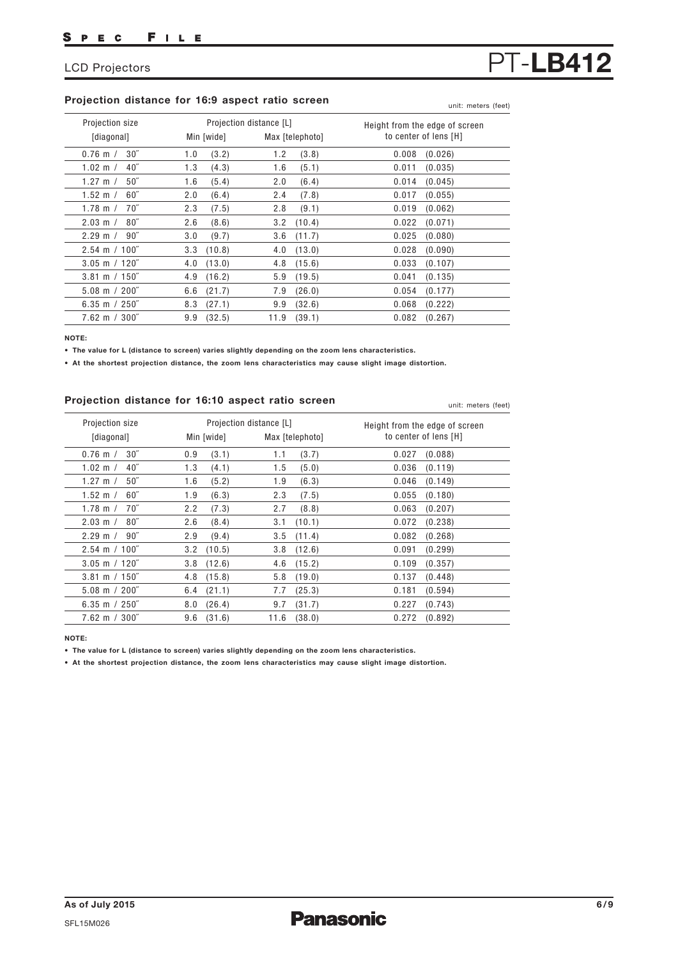## **Projection distance for 16:9 aspect ratio screen**

| Projection size          |            | Projection distance [L] | Height from the edge of screen |
|--------------------------|------------|-------------------------|--------------------------------|
| [diagonal]               | Min [wide] | Max [telephoto]         | to center of lens [H]          |
| $30^{\circ}$             | 1.0        | (3.8)                   | 0.008                          |
| $0.76$ m $/$             | (3.2)      | 1.2                     | (0.026)                        |
| $1.02 \text{ m}$ /       | 1.3        | (5.1)                   | 0.011                          |
| 40 <sup>''</sup>         | (4.3)      | 1.6                     | (0.035)                        |
| $50^{\circ}$             | (5.4)      | 2.0                     | 0.014                          |
| 1.27 m $/$               | 1.6        | (6.4)                   | (0.045)                        |
| $60^{\circ}$             | 2.0        | 2.4                     | 0.017                          |
| $1.52 \text{ m}$ /       | (6.4)      | (7.8)                   | (0.055)                        |
| $70^{\circ}$             | 2.3        | (9.1)                   | 0.019                          |
| 1.78 m $/$               | (7.5)      | 2.8                     | (0.062)                        |
| $80^{\circ}$             | (8.6)      | (10.4)                  | 0.022                          |
| $2.03 \text{ m}$ /       | 2.6        | 3.2                     | (0.071)                        |
| $90^{\prime\prime}$      | 3.0        | (11.7)                  | 0.025                          |
| $2.29 \text{ m}$ /       | (9.7)      | 3.6                     | (0.080)                        |
| $2.54 \text{ m} / 100$ " | (10.8)     | (13.0)                  | 0.028                          |
|                          | 3.3        | 4.0                     | (0.090)                        |
| $3.05$ m $/ 120$ "       | (13.0)     | 4.8                     | 0.033                          |
|                          | 4.0        | (15.6)                  | (0.107)                        |
| $3.81 \text{ m} / 150$ " | 4.9        | (19.5)                  | 0.041                          |
|                          | (16.2)     | 5.9                     | (0.135)                        |
| $5.08 \text{ m} / 200$ " | (21.7)     | (26.0)                  | 0.054                          |
|                          | 6.6        | 7.9                     | (0.177)                        |
| 6.35 m $/250$ "          | (27.1)     | 9.9                     | 0.068                          |
|                          | 8.3        | (32.6)                  | (0.222)                        |
| $7.62 \text{ m} / 300$ " | 9.9        | 11.9                    | 0.082                          |
|                          | (32.5)     | (39.1)                  | (0.267)                        |

**NOTE:**

**• The value for L (distance to screen) varies slightly depending on the zoom lens characteristics.**

**• At the shortest projection distance, the zoom lens characteristics may cause slight image distortion.**

### **Projection distance for 16:10 aspect ratio screen**

0.76 m / 1.02 m / 1.27 m / 1.52 m / 1.78 m / 2.03 m / 2.29 m / 2.54 m 100˝ / 3.05 m 120˝ / 3.81 m 150˝ / 5.08 m 200˝ / 6.35 m 250˝ / 7.62 m 300˝ / 0.9 1.3 1.6 1.9 2.2 2.6 2.9 3.2 3.8 4.8 6.4 8.0 9.6 1.1 1.5 1.9 2.3 2.7 3.1 3.5 3.8 4.6 5.8 7.7 9.7 11.6 0.027 0.036 0.046 0.055 0.063 0.072 0.082 0.091 0.109 0.137 0.181 0.227 0.272 30˝ 40˝ 50˝ 60˝ 70˝ 80˝ 90˝ (3.1) (4.1) (5.2) (6.3) (7.3) (8.4) (9.4) (10.5) (12.6) (15.8) (21.1) (26.4) (31.6) (3.7) (5.0) (6.3) (7.5) (8.8) (10.1) (11.4) (12.6) (15.2) (19.0) (25.3) (31.7) (38.0) (0.088) (0.119) (0.149) (0.180) (0.207) (0.238) (0.268) (0.299) (0.357) (0.448) (0.594) (0.743) (0.892) Projection size [diagonal] Projection distance [L] Min [wide] Max [telephoto] Height from the edge of screen to center of lens [H]

**NOTE:**

**• The value for L (distance to screen) varies slightly depending on the zoom lens characteristics.**

**• At the shortest projection distance, the zoom lens characteristics may cause slight image distortion.**

# LCD Projectors **PT-LB412**

unit: meters (feet)

unit: meters (feet)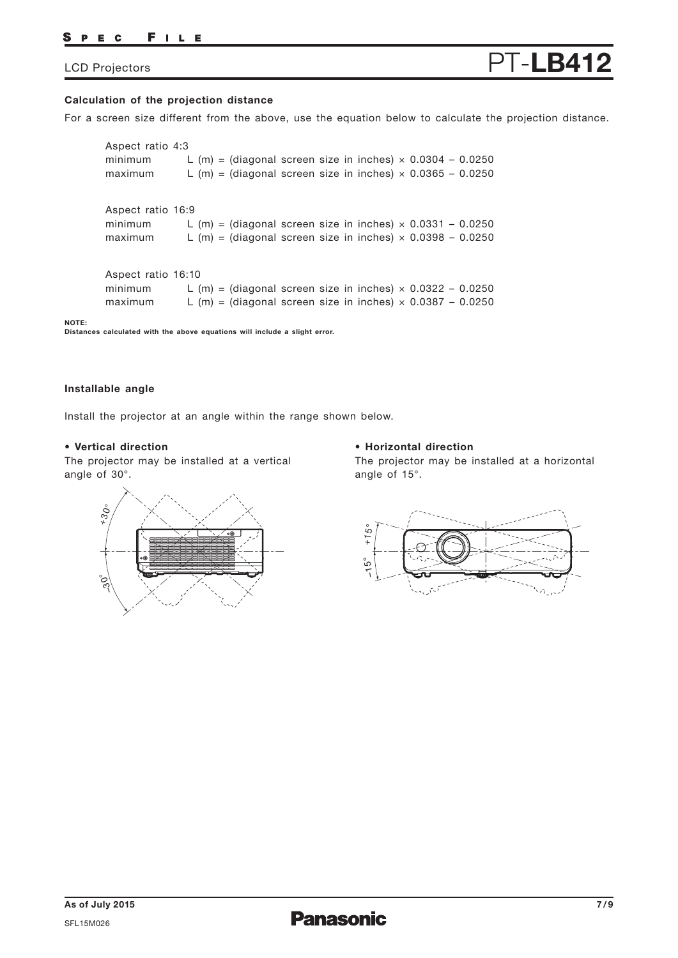#### FILE S PEC

# LCD Projectors **PT-LB412**

## **Calculation of the projection distance**

For a screen size different from the above, use the equation below to calculate the projection distance.

| Aspect ratio 4:3<br>minimum<br>maximum   | L (m) = (diagonal screen size in inches) $\times$ 0.0304 - 0.0250<br>L (m) = (diagonal screen size in inches) $\times$ 0.0365 - 0.0250 |  |
|------------------------------------------|----------------------------------------------------------------------------------------------------------------------------------------|--|
| Aspect ratio 16:9<br>minimum<br>maximum  | L (m) = (diagonal screen size in inches) $\times$ 0.0331 - 0.0250<br>L (m) = (diagonal screen size in inches) $\times$ 0.0398 - 0.0250 |  |
| Aspect ratio 16:10<br>minimum<br>maximum | L (m) = (diagonal screen size in inches) $\times$ 0.0322 - 0.0250<br>L (m) = (diagonal screen size in inches) $\times$ 0.0387 - 0.0250 |  |

**NOTE: Distances calculated with the above equations will include a slight error.**

### **Installable angle**

Install the projector at an angle within the range shown below.

### **• Vertical direction**

The projector may be installed at a vertical angle of 30°.

### **• Horizontal direction**

The projector may be installed at a horizontal angle of 15°.



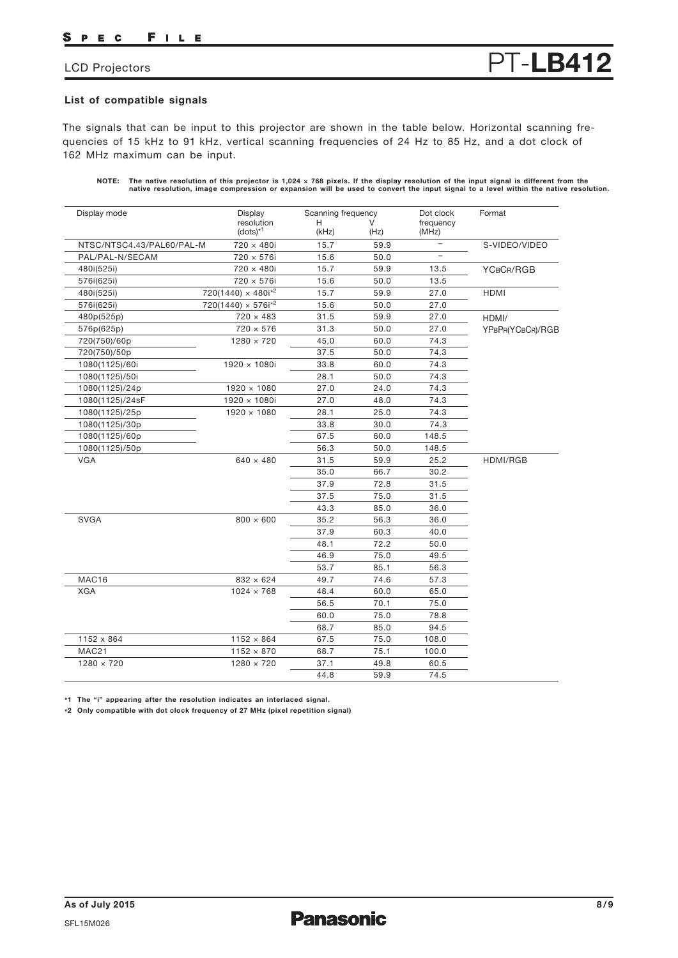#### FILE S P E C

The signals that can be input to this projector are shown in the table below. Horizontal scanning frequencies of 15 kHz to 91 kHz, vertical scanning frequencies of 24 Hz to 85 Hz, and a dot clock of 162 MHz maximum can be input.

| NOTE: The native resolution of this projector is 1,024 $\times$ 768 pixels. If the display resolution of the input signal is different from the |
|-------------------------------------------------------------------------------------------------------------------------------------------------|
| native resolution, image compression or expansion will be used to convert the input signal to a level within the native resolution.             |

| Display mode              | Display                     | Scanning frequency |      | Dot clock                | Format           |
|---------------------------|-----------------------------|--------------------|------|--------------------------|------------------|
|                           | resolution<br>$(dots)*1$    | H<br>(kHz)         | (Hz) | frequency<br>(MHz)       |                  |
| NTSC/NTSC4.43/PAL60/PAL-M | 720 × 480i                  | 15.7               | 59.9 | $\overline{\phantom{a}}$ | S-VIDEO/VIDEO    |
| PAL/PAL-N/SECAM           | 720 × 576i                  | 15.6               | 50.0 |                          |                  |
| 480i(525i)                | 720 × 480i                  | 15.7               | 59.9 | 13.5                     | YCBCR/RGB        |
| 576i(625i)                | 720 × 576i                  | 15.6               | 50.0 | 13.5                     |                  |
| 480i(525i)                | $720(1440) \times 480i^{2}$ | 15.7               | 59.9 | 27.0                     | <b>HDMI</b>      |
| 576i(625i)                | $720(1440) \times 576i^{2}$ | 15.6               | 50.0 | 27.0                     |                  |
| 480p(525p)                | $720 \times 483$            | 31.5               | 59.9 | 27.0                     | HDMI/            |
| 576p(625p)                | $720 \times 576$            | 31.3               | 50.0 | 27.0                     | YPBPR(YCBCR)/RGB |
| 720(750)/60p              | $1280 \times 720$           | 45.0               | 60.0 | 74.3                     |                  |
| 720(750)/50p              |                             | 37.5               | 50.0 | 74.3                     |                  |
| 1080(1125)/60i            | $1920 \times 1080i$         | 33.8               | 60.0 | 74.3                     |                  |
| 1080(1125)/50i            |                             | 28.1               | 50.0 | 74.3                     |                  |
| 1080(1125)/24p            | $1920 \times 1080$          | 27.0               | 24.0 | 74.3                     |                  |
| 1080(1125)/24sF           | 1920 × 1080i                | 27.0               | 48.0 | 74.3                     |                  |
| 1080(1125)/25p            | 1920 × 1080                 | 28.1               | 25.0 | 74.3                     |                  |
| 1080(1125)/30p            |                             | 33.8               | 30.0 | 74.3                     |                  |
| 1080(1125)/60p            |                             | 67.5               | 60.0 | 148.5                    |                  |
| 1080(1125)/50p            |                             | 56.3               | 50.0 | 148.5                    |                  |
| <b>VGA</b>                | $640 \times 480$            | 31.5               | 59.9 | 25.2                     | HDMI/RGB         |
|                           |                             | 35.0               | 66.7 | 30.2                     |                  |
|                           |                             | 37.9               | 72.8 | 31.5                     |                  |
|                           |                             | 37.5               | 75.0 | 31.5                     |                  |
|                           |                             | 43.3               | 85.0 | 36.0                     |                  |
| <b>SVGA</b>               | $800 \times 600$            | 35.2               | 56.3 | 36.0                     |                  |
|                           |                             | 37.9               | 60.3 | 40.0                     |                  |
|                           |                             | 48.1               | 72.2 | 50.0                     |                  |
|                           |                             | 46.9               | 75.0 | 49.5                     |                  |
|                           |                             | 53.7               | 85.1 | 56.3                     |                  |
| MAC16                     | $832 \times 624$            | 49.7               | 74.6 | 57.3                     |                  |
| <b>XGA</b>                | $1024 \times 768$           | 48.4               | 60.0 | 65.0                     |                  |
|                           |                             | 56.5               | 70.1 | 75.0                     |                  |
|                           |                             | 60.0               | 75.0 | 78.8                     |                  |
|                           |                             | 68.7               | 85.0 | 94.5                     |                  |
| 1152 x 864                | $1152 \times 864$           | 67.5               | 75.0 | 108.0                    |                  |
| MAC21                     | $1152 \times 870$           | 68.7               | 75.1 | 100.0                    |                  |
| $1280 \times 720$         | $1280 \times 720$           | 37.1               | 49.8 | 60.5                     |                  |
|                           |                             | 44.8               | 59.9 | 74.5                     |                  |

**\*1 The "i" appearing after the resolution indicates an interlaced signal.**

**\*2 Only compatible with dot clock frequency of 27 MHz (pixel repetition signal)**